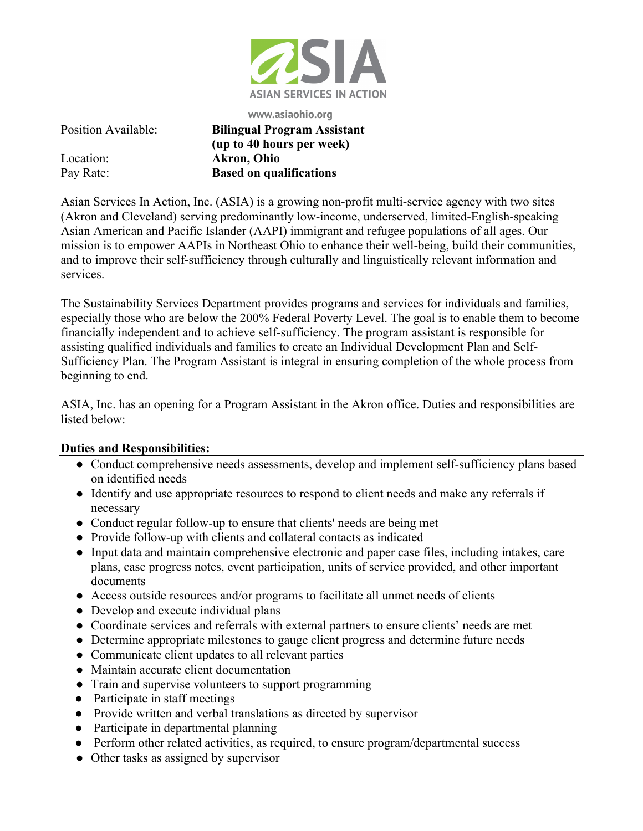

**www.asiaohio.org**

Position Available: **Bilingual Program Assistant (up to 40 hours per week)** Location: **Akron, Ohio** Pay Rate: **Based on qualifications**

Asian Services In Action, Inc. (ASIA) is a growing non-profit multi-service agency with two sites (Akron and Cleveland) serving predominantly low-income, underserved, limited-English-speaking Asian American and Pacific Islander (AAPI) immigrant and refugee populations of all ages. Our mission is to empower AAPIs in Northeast Ohio to enhance their well-being, build their communities, and to improve their self-sufficiency through culturally and linguistically relevant information and services.

The Sustainability Services Department provides programs and services for individuals and families, especially those who are below the 200% Federal Poverty Level. The goal is to enable them to become financially independent and to achieve self-sufficiency. The program assistant is responsible for assisting qualified individuals and families to create an Individual Development Plan and Self-Sufficiency Plan. The Program Assistant is integral in ensuring completion of the whole process from beginning to end.

ASIA, Inc. has an opening for a Program Assistant in the Akron office. Duties and responsibilities are listed below:

## **Duties and Responsibilities:**

- Conduct comprehensive needs assessments, develop and implement self-sufficiency plans based on identified needs
- Identify and use appropriate resources to respond to client needs and make any referrals if necessary
- Conduct regular follow-up to ensure that clients' needs are being met
- Provide follow-up with clients and collateral contacts as indicated
- Input data and maintain comprehensive electronic and paper case files, including intakes, care plans, case progress notes, event participation, units of service provided, and other important documents
- Access outside resources and/or programs to facilitate all unmet needs of clients
- Develop and execute individual plans
- Coordinate services and referrals with external partners to ensure clients' needs are met
- Determine appropriate milestones to gauge client progress and determine future needs
- Communicate client updates to all relevant parties
- Maintain accurate client documentation
- Train and supervise volunteers to support programming
- Participate in staff meetings
- Provide written and verbal translations as directed by supervisor
- Participate in departmental planning
- Perform other related activities, as required, to ensure program/departmental success
- Other tasks as assigned by supervisor